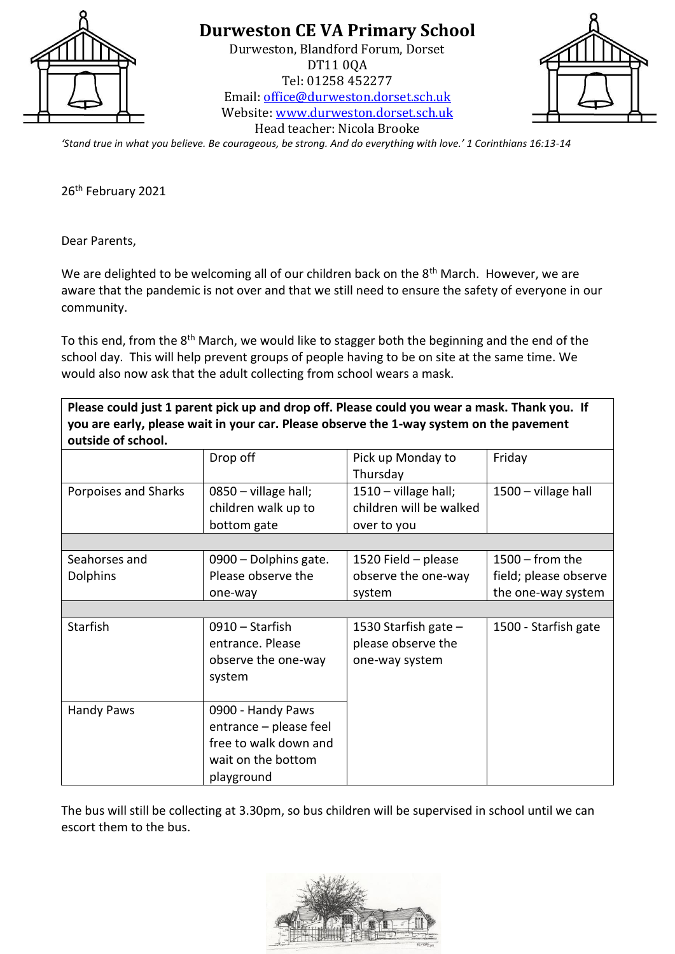

Durweston, Blandford Forum, Dorset DT11 0QA Tel: 01258 452277 Email: [office@durweston.dorset.sch.uk](mailto:office@durweston.dorset.sch.uk) Website: [www.durweston.dorset.sch.uk](http://www.durweston.dorset.sch.uk/)



Head teacher: Nicola Brooke

*'Stand true in what you believe. Be courageous, be strong. And do everything with love.' 1 Corinthians 16:13-14*

26<sup>th</sup> February 2021

Dear Parents,

We are delighted to be welcoming all of our children back on the  $8<sup>th</sup>$  March. However, we are aware that the pandemic is not over and that we still need to ensure the safety of everyone in our community.

To this end, from the 8<sup>th</sup> March, we would like to stagger both the beginning and the end of the school day. This will help prevent groups of people having to be on site at the same time. We would also now ask that the adult collecting from school wears a mask.

**Please could just 1 parent pick up and drop off. Please could you wear a mask. Thank you. If you are early, please wait in your car. Please observe the 1-way system on the pavement outside of school.**

|                                  | Drop off                                                                                                 | Pick up Monday to<br>Thursday                                    | Friday                                                           |
|----------------------------------|----------------------------------------------------------------------------------------------------------|------------------------------------------------------------------|------------------------------------------------------------------|
| Porpoises and Sharks             | 0850 - village hall;<br>children walk up to<br>bottom gate                                               | $1510 -$ village hall;<br>children will be walked<br>over to you | 1500 - village hall                                              |
|                                  |                                                                                                          |                                                                  |                                                                  |
| Seahorses and<br><b>Dolphins</b> | 0900 - Dolphins gate.<br>Please observe the<br>one-way                                                   | 1520 Field - please<br>observe the one-way<br>system             | $1500 -$ from the<br>field; please observe<br>the one-way system |
|                                  |                                                                                                          |                                                                  |                                                                  |
| Starfish                         | $0910 -$ Starfish<br>entrance. Please<br>observe the one-way<br>system                                   | 1530 Starfish gate $-$<br>please observe the<br>one-way system   | 1500 - Starfish gate                                             |
| <b>Handy Paws</b>                | 0900 - Handy Paws<br>entrance – please feel<br>free to walk down and<br>wait on the bottom<br>playground |                                                                  |                                                                  |

The bus will still be collecting at 3.30pm, so bus children will be supervised in school until we can escort them to the bus.

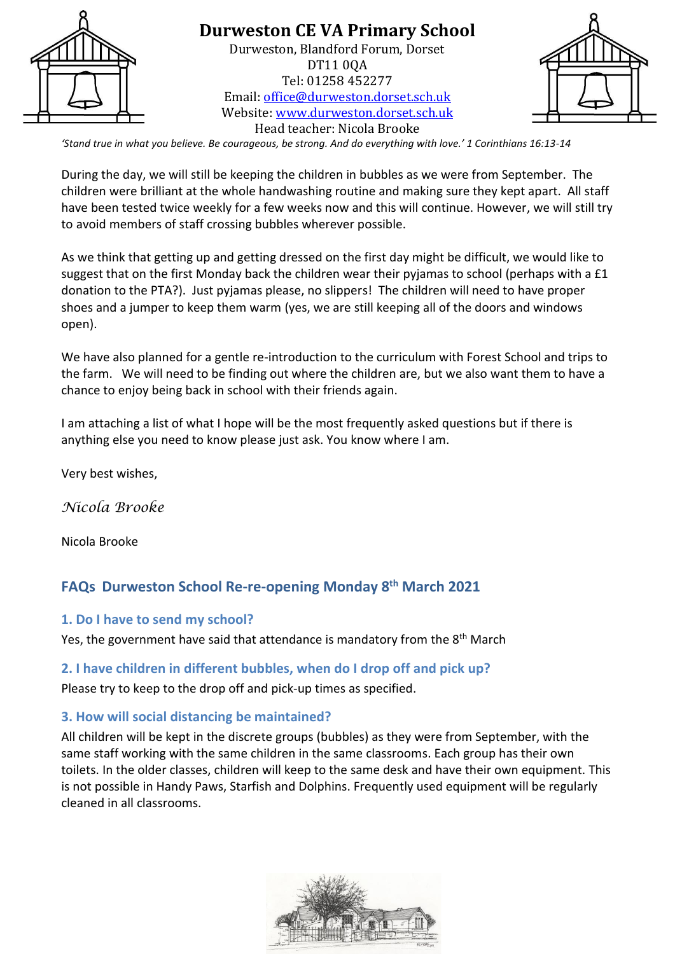

Durweston, Blandford Forum, Dorset DT11 0QA Tel: 01258 452277 Email: [office@durweston.dorset.sch.uk](mailto:office@durweston.dorset.sch.uk) Website: [www.durweston.dorset.sch.uk](http://www.durweston.dorset.sch.uk/) Head teacher: Nicola Brooke



*'Stand true in what you believe. Be courageous, be strong. And do everything with love.' 1 Corinthians 16:13-14*

During the day, we will still be keeping the children in bubbles as we were from September. The children were brilliant at the whole handwashing routine and making sure they kept apart. All staff have been tested twice weekly for a few weeks now and this will continue. However, we will still try to avoid members of staff crossing bubbles wherever possible.

As we think that getting up and getting dressed on the first day might be difficult, we would like to suggest that on the first Monday back the children wear their pyjamas to school (perhaps with a £1 donation to the PTA?). Just pyjamas please, no slippers! The children will need to have proper shoes and a jumper to keep them warm (yes, we are still keeping all of the doors and windows open).

We have also planned for a gentle re-introduction to the curriculum with Forest School and trips to the farm. We will need to be finding out where the children are, but we also want them to have a chance to enjoy being back in school with their friends again.

I am attaching a list of what I hope will be the most frequently asked questions but if there is anything else you need to know please just ask. You know where I am.

Very best wishes,

*Nicola Brooke* 

Nicola Brooke

# **FAQs Durweston School Re-re-opening Monday 8th March 2021**

#### **1. Do I have to send my school?**

Yes, the government have said that attendance is mandatory from the 8<sup>th</sup> March

#### **2. I have children in different bubbles, when do I drop off and pick up?**

Please try to keep to the drop off and pick-up times as specified.

#### **3. How will social distancing be maintained?**

All children will be kept in the discrete groups (bubbles) as they were from September, with the same staff working with the same children in the same classrooms. Each group has their own toilets. In the older classes, children will keep to the same desk and have their own equipment. This is not possible in Handy Paws, Starfish and Dolphins. Frequently used equipment will be regularly cleaned in all classrooms.

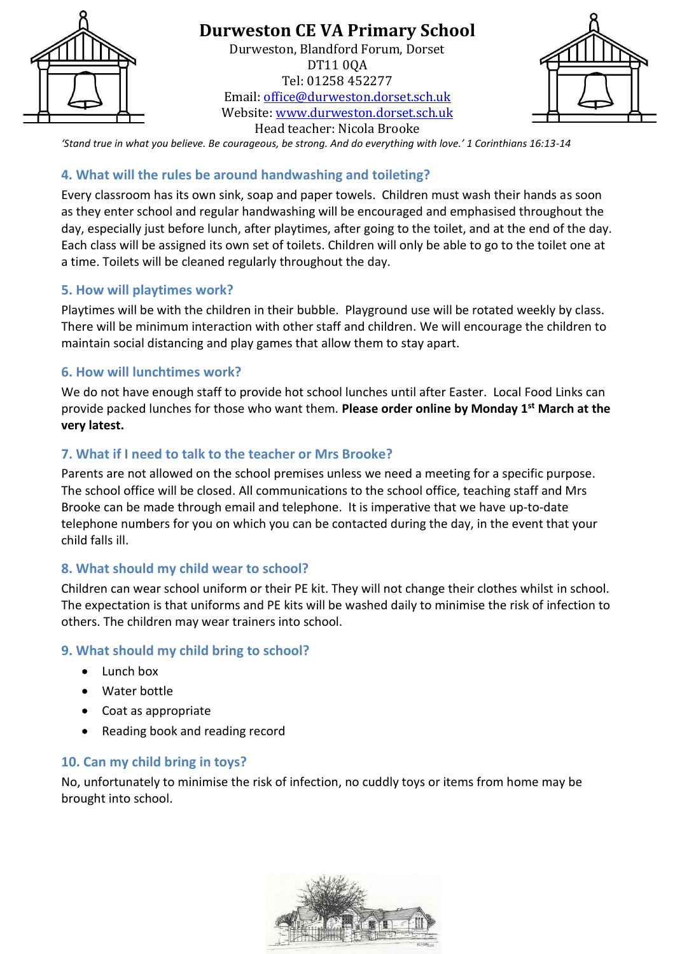

Durweston, Blandford Forum, Dorset DT11 0QA Tel: 01258 452277 Email: [office@durweston.dorset.sch.uk](mailto:office@durweston.dorset.sch.uk) Website: [www.durweston.dorset.sch.uk](http://www.durweston.dorset.sch.uk/) Head teacher: Nicola Brooke



*'Stand true in what you believe. Be courageous, be strong. And do everything with love.' 1 Corinthians 16:13-14*

#### **4. What will the rules be around handwashing and toileting?**

Every classroom has its own sink, soap and paper towels. Children must wash their hands as soon as they enter school and regular handwashing will be encouraged and emphasised throughout the day, especially just before lunch, after playtimes, after going to the toilet, and at the end of the day. Each class will be assigned its own set of toilets. Children will only be able to go to the toilet one at a time. Toilets will be cleaned regularly throughout the day.

#### **5. How will playtimes work?**

Playtimes will be with the children in their bubble. Playground use will be rotated weekly by class. There will be minimum interaction with other staff and children. We will encourage the children to maintain social distancing and play games that allow them to stay apart.

#### **6. How will lunchtimes work?**

We do not have enough staff to provide hot school lunches until after Easter. Local Food Links can provide packed lunches for those who want them. **Please order online by Monday 1st March at the very latest.**

#### **7. What if I need to talk to the teacher or Mrs Brooke?**

Parents are not allowed on the school premises unless we need a meeting for a specific purpose. The school office will be closed. All communications to the school office, teaching staff and Mrs Brooke can be made through email and telephone. It is imperative that we have up-to-date telephone numbers for you on which you can be contacted during the day, in the event that your child falls ill.

### **8. What should my child wear to school?**

Children can wear school uniform or their PE kit. They will not change their clothes whilst in school. The expectation is that uniforms and PE kits will be washed daily to minimise the risk of infection to others. The children may wear trainers into school.

### **9. What should my child bring to school?**

- Lunch box
- Water bottle
- Coat as appropriate
- Reading book and reading record

### **10. Can my child bring in toys?**

No, unfortunately to minimise the risk of infection, no cuddly toys or items from home may be brought into school.